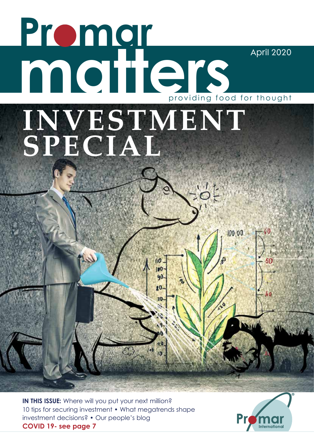# **Promar matters** April 2020 providing food for thought**INVESTMENT SPECIAL**  $\frac{1}{2}5.$  $100,00$ ī00 90  $\overline{10}$  $10$

**IN THIS ISSUE:** Where will you put your next million? 10 tips for securing investment • What megatrends shape investment decisions? • Our people's blog **COVID 19- see page 7**

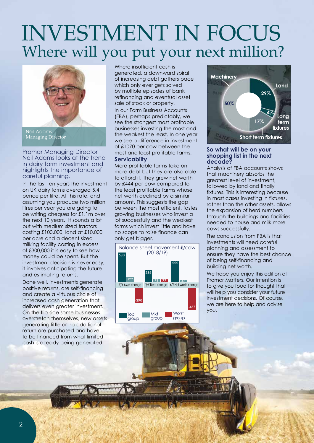## INVESTMENT IN FOCUS Where will you put your next million?



Neil Adams Managing Director

Promar Managing Director Neil Adams looks at the trend in dairy farm investment and highlights the importance of careful planning.

In the last ten years the investment on UK dairy farms averaged 5.4 pence per litre. At this rate, and assuming you produce two million litres per year you are going to be writing cheques for £1.1m over the next 10 years. It sounds a lot but with medium sized tractors costing £100,000, land at £10,000 per acre and a decent sized milking facility costing in excess of £300,000 it is easy to see how money could be spent. But the investment decision is never easy, it involves anticipating the future and estimating returns.

Done well, investments generate positive returns, are self-financing and create a virtuous circle of increased cash generation that delivers even greater investment. On the flip side some businesses overstretch themselves, new assets generating little or no additional return are purchased and have to be financed from what limited cash is already being generated.

Where insufficient cash is generated, a downward spiral of increasing debt gathers pace which only ever gets solved by multiple episodes of bank refinancing and eventual asset sale of stock or property.

In our Farm Business Accounts (FBA), perhaps predictably, we see the strongest most profitable businesses investing the most and the weakest the least. In one year we see a difference in investment of £1070 per cow between the most and least profitable farms.

### **Servicabilty**

More profitable farms take on more debt but they are also able to afford it. They grew net worth by £444 per cow compared to the least profitable farms whose net worth declined by a similar amount. This suggests the gap between the most efficient, fastest growing businesses who invest a lot successfully and the weakest farms which invest little and have no scope to raise finance can only get bigger.





#### **So what will be on your shopping list in the next decade?**

Analysis of FBA accounts shows that machinery absorbs the greatest level of investment, followed by land and finally fixtures. This is interesting because in most cases investing in fixtures, rather than the other assets, allows the expansion of herd numbers through the buildings and facilities needed to house and milk more cows successfully.

The conclusion from FBA is that investments will need careful planning and assessment to ensure they have the best chance of being self-financing and building net worth.

We hope you enjoy this edition of Promar Matters. Our intention is to give you food for thought that will help you consider your future investment decisions. Of course, we are here to help and advise you.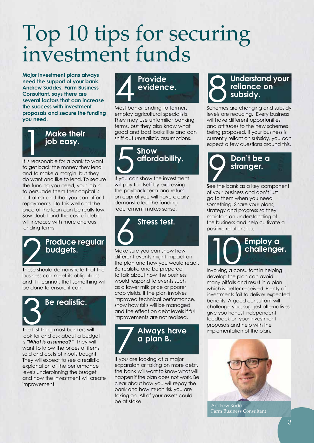## Top 10 tips for securing investment funds

**Major investment plans always need the support of your bank. Andrew Suddes, Farm Business Consultant, says there are several factors that can increase the success with investment proposals and secure the funding you need.**



to get back the money they lend and to make a margin, but they do want and like to lend. To secure the funding you need, your job is to persuade them their capital is not at risk and that you can afford repayments. Do this well and the price of the loan can be really low. Sow doubt and the cost of debt will increase with more onerous lending terms.



### **Produce regular budgets.**

These should demonstrate that the business can meet its obligations, and if it cannot, that something will be done to ensure it can.



look for and ask about a budget is *"What is assumed?"* They will want to know the prices of items sold and costs of inputs bought. They will expect to see a realistic explanation of the performance levels underpinning the budget and how the investment will create improvement.



Most banks lending to farmers employ agricultural specialists. They may use unfamiliar banking terms, but they also know what good and bad looks like and can sniff out unrealistic assumptions.



will pay for itself by expressing the payback term and return on capital you will have clearly demonstrated the funding requirement makes sense.



Make sure you can show how different events might impact on the plan and how you would react. Be realistic and be prepared to talk about how the business would respond to events such as a lower milk price or poorer crop yields. If the plan involves improved technical performance, show how risks will be managed and the effect on debt levels if full improvements are not realised. Produce regular<br>budgets.<br>These should demonstrate that the Be realistic and be prepared

## 7 **Always have a plan B.**

If you are looking at a major expansion or taking on more debt, the bank will want to know what will happen if the plan does not work. Be clear about how you will repay the bank and how much risk you are taking on. All of your assets could be at stake.

### **Understand your reliance on subsidy.**

Schemes are changing and subsidy levels are reducing. Every business will have different opportunities and attitudes to the new schemes being proposed. If your business is currently reliant on subsidy, you can expect a few questions around this.



of your business and don't just go to them when you need something. Share your plans, strategy and progress so they maintain an understanding of the business and help cultivate a positive relationship.

Involving a consultant in helping **Employ a challenger.**

develop the plan can avoid many pitfalls and result in a plan which is better received. Plenty of investments fail to deliver expected benefits. A good consultant will challenge you, suggest alternatives, give you honest independent feedback on your investment proposals and help with the implementation of the plan.



Andrew Suddes Farm Business Consultant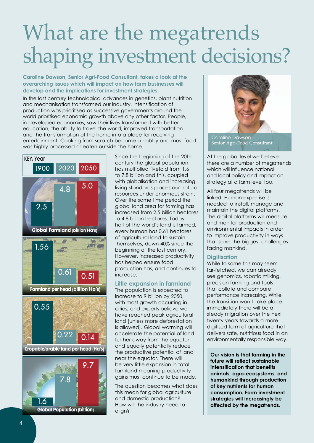## What are the megatrends shaping investment decisions?

### **Caroline Dawson, Senior Agri-Food Consultant, takes a look at the overarching issues which will impact on how farm businesses will develop and the implications for investment strategies.**

In the last century technological advances in genetics, plant nutrition and mechanisation transformed our industry. Intensification of production was prioritised as successive governments around the world prioritised economic growth above any other factor. People, in developed economies, saw their lives transformed with better education, the ability to travel the world, improved transportation and the transformation of the home into a place for receiving entertainment. Cooking from scratch became a hobby and most food was highly processed or eaten outside the home.



Since the beginning of the 20th century the global population has multiplied fivefold from 1.6 to 7.8 billion and this, coupled with globalisation and increasing living standards places our natural resources under enormous strain. Over the same time period the global land area for farming has increased from 2.5 billion hectares to 4.8 billion hectares. Today, half of the world's land is farmed, every human has 0.61 hectares of agricultural land to sustain themselves, down 40% since the beginning of the last century. However, increased productivity has helped ensure food production has, and continues to increase.

### **Little expansion in farmland**

The population is expected to increase to 9 billion by 2050, with most growth occurring in cities, and experts believe we have reached peak agricultural land (unless more deforestation is allowed). Global warming will accelerate the potential of land further away from the equator and equally potentially reduce the productive potential of land near the equator. There will be very little expansion in total farmland meaning productivity gains must continue to be made.

The question becomes what does this mean for global agriculture and domestic production? How will the industry need to align?



Caroline Dawson Senior Agri-Food Consultant

At the global level we believe there are a number of megatrends which will influence national and local policy and impact on strategy at a farm level too.

All four megatrends will be linked. Human expertise is needed to install, manage and maintain the digital platforms. The digital platforms will measure and monitor production and environmental impacts in order to improve productivity in ways that solve the biggest challenges facing mankind.

### **Digitisation**

While to some this may seem far-fetched, we can already see genomics, robotic milking, precision farming and tools that collate and compare performance increasing. While the transition won't take place immediately there will be a steady migration over the next twenty years towards a more digitised form of agriculture that delivers safe, nutritious food in an environmentally responsible way.

**Our vision is that farming in the future will reflect sustainable intensification that benefits animals, agro-ecosystems, and humankind through production of key nutrients for human consumption. Farm investment strategies will increasingly be affected by the megatrends.**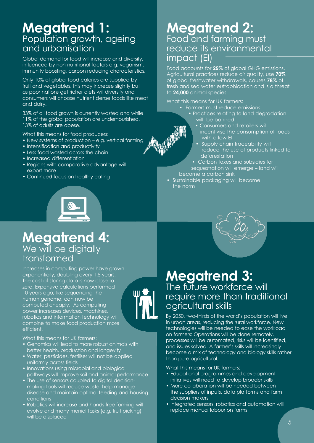## **Megatrend 1:** Population growth, ageing and urbanisation

Global demand for food will increase and diversify, influenced by non-nutritional factors e.g. veganism, immunity boosting, carbon reducing characteristics.

Only 10% of global food calories are supplied by fruit and vegetables, this may increase slightly but as poor nations get richer diets will diversify and consumers will choose nutrient dense foods like meat and dairy.

33% of all food grown is currently wasted and while 11% of the global population are undernourished, 13% of adults are obese.

What this means for food producers:

- New systems of production e.g. vertical farming
- Intensification and productivity
- Less food wasted across the chain
- Increased differentiation
- Regions with comparative advantage will export more
- Continued focus on healthy eating

## **Megatrend 4:** We will be digitally transformed

Increases in computing power have grown exponentially, doubling every 1.5 years. The cost of storing data is now close to zero. Expensive calculations performed 10 years ago, like sequencing the human genome, can now be computed cheaply. As computing power increases devices, machines, robotics and information technology will combine to make food production more efficient.

What this means for UK farmers:

- Genomics will lead to more robust animals with better health, production and longevity
- Water, pesticides, fertiliser will not be applied uniformly across fields
- Innovations using microbial and biological pathways will improve soil and animal performance
- The use of sensors coupled to digital decisionmaking tools will reduce waste, help manage disease and maintain optimal feeding and housing conditions
- Robotics will increase and hands free farming will evolve and many menial tasks (e.g. fruit picking) will be displaced

## **Megatrend 2:** Food and farming must reduce its environmental impact (EI)

Food accounts for **25%** of global GHG emissions. Agricultural practices reduce air quality, use **70%** of global freshwater withdrawals, causes **78%** of fresh and sea water eutrophication and is a threat to **24,000** animal species.

What this means for UK farmers:

- Farmers must reduce emissions
	- Practices relating to land degradation will be banned
		- Consumers and retailers will incentivise the consumption of foods with a low EI
		- Supply chain traceability will reduce the use of products linked to deforestation
- Carbon taxes and subsidies for sequestration will emerge – land will become a carbon sink
- Sustainable packaging will become the norm



By 2050, two-thirds of the world's population will live in urban areas, reducing the rural workforce. New technologies will be needed to ease the workload on farmers: Operations will be done remotely, processes will be automated, risks will be identified, and issues solved. A farmer's skills will increasingly become a mix of technology and biology skills rather than pure agricultural.

What this means for UK farmers:

- Educational programmes and development initiatives will need to develop broader skills
- More collaboration will be needed between the suppliers of inputs, data platforms and farm decision makers
- Integrated sensors, robotics and automation will replace manual labour on farms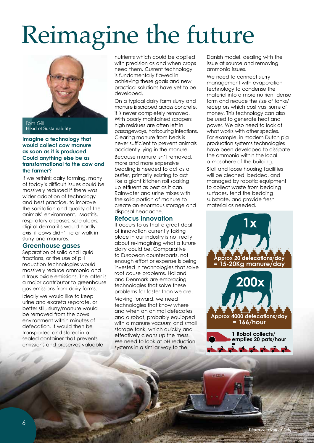# Reimagine the future



Tom Gill Head of Sustainability

#### **Imagine a technology that would collect cow manure as soon as it is produced. Could anything else be as transformational to the cow and the farmer?**

If we rethink dairy farming, many of today's difficult issues could be massively reduced if there was wider adoption of technology and best practice, to improve the sanitation and quality of the animals' environment. Mastitis, respiratory diseases, sole ulcers, digital dermatitis would hardly exist if cows didn't lie or walk in slurry and manures.

### **Greenhouse gases**

Separation of solid and liquid fractions, or the use of pH reduction technologies would massively reduce ammonia and nitrous oxide emissions. The latter is a major contributor to greenhouse gas emissions from dairy farms.

Ideally we would like to keep urine and excreta separate, or better still, slurry/manure would be removed from the cows' environment within minutes of defecation. It would then be transported and stored in a sealed container that prevents emissions and preserves valuable nutrients which could be applied with precision as and when crops need them. Current technology is fundamentally flawed in achieving these goals and new practical solutions have yet to be developed.

On a typical dairy farm slurry and manure is scraped across concrete, it is never completely removed. With poorly maintained scrapers high residues are often left in passageways, harbouring infections. Clearing manure from beds is never sufficient to prevent animals accidently lying in the manure.

Because manure isn't removed, more and more expensive bedding is needed to act as a buffer, primarily existing to act like a giant kitchen roll soaking up effluent as best as it can. Rainwater and urine mixes with the solid portion of manure to create an enormous storage and disposal headache.

### **Refocus innovation**

It occurs to us that a great deal of innovation currently taking place in our industry is not really about re-imagining what a future dairy could be. Comparative to European counterparts, not enough effort or expense is being invested in technologies that solve root cause problems. Holland and Denmark are embracing technologies that solve these problems far faster than we are.

Moving forward, we need technologies that know where and when an animal defecates and a robot, probably equipped with a manure vacuum and small storage tank, which quickly and effectively cleans up the mess. We need to look at pH reduction systems in a similar way to the

Danish model, dealing with the issue at source and removing ammonia issues.

We need to connect slurry management with evaporation technology to condense the material into a more nutrient dense form and reduce the size of tanks/ receptors which cost vast sums of money. This technology can also be used to generate heat and power. We also need to look at what works with other species. For example, in modern Dutch pig production systems technologies have been developed to dissipate the ammonia within the local atmosphere of the building.

Stall and loose housing facilities will be cleaned, bedded, and managed by robotic equipment to collect waste from bedding surfaces, tend the bedding substrate, and provide fresh material as needed.



**200x Approx 4000 defecations/day = 166/hour**

> **1 Robot collects/ empties 20 pats/hour =**

**1 2 3 4 5 6 7 8**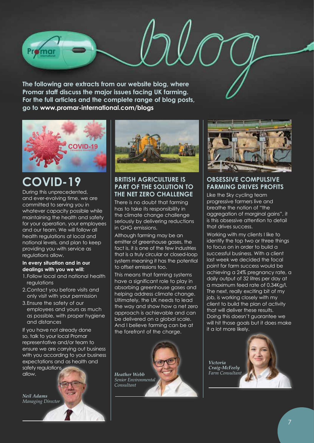**The following are extracts from our website blog, where Promar staff discuss the major issues facing UK farming. For the full articles and the complete range of blog posts, go to www.promar-international.com/blogs**



## **COVID-19**

During this unprecedented, and ever-evolving time, we are committed to serving you in whatever capacity possible while maintaining the health and safety for your operation, your employees and our team. We will follow all health regulations at local and national levels, and plan to keep providing you with service as regulations allow.

### **In every situation and in our dealings with you we will:**

- 1.Follow local and national health regulations
- 2.Contact you before visits and only visit with your permission
- 3.Ensure the safety of our employees and yours as much as possible, with proper hygiene and distances

If you have not already done so, talk to your local Promar representative and/or team to ensure we are carrying out business with you according to your business expectations and as health and safety regulations

allow.

*Neil Adams Managing Director*



### **BRITISH AGRICULTURE IS PART OF THE SOLUTION TO THE NET ZERO CHALLENGE**

There is no doubt that farming has to take its responsibility in the climate change challenge seriously by delivering reductions in GHG emissions.

Although farming may be an emitter of greenhouse gases, the fact is, it is one of the few industries that is a truly circular or closed-loop system meaning it has the potential to offset emissions too.

This means that farming systems have a significant role to play in absorbing greenhouse gases and helping address climate change. Ultimately, the UK needs to lead the way and show how a net zero approach is achievable and can be delivered on a global scale. And I believe farming can be at the forefront of the charge.





### **OBSESSIVE COMPULSIVE FARMING DRIVES PROFITS**

Like the Sky cycling team progressive farmers live and breathe the notion of "the aggregation of marginal gains", it is this obsessive attention to detail that drives success.

Working with my clients I like to identify the top two or three things to focus on in order to build a successful business. With a client last week we decided the focal point for farm success would be achieving a 24% pregnancy rate, a daily output of 32 litres per day at a maximum feed rate of 0.34Kg/l. The next, really exciting bit of my job, is working closely with my client to build the plan of activity that will deliver these results. Doing this doesn't guarantee we will hit those goals but it does make it a lot more likely.

*Victoria Craig-McFeely Farm Consultant*